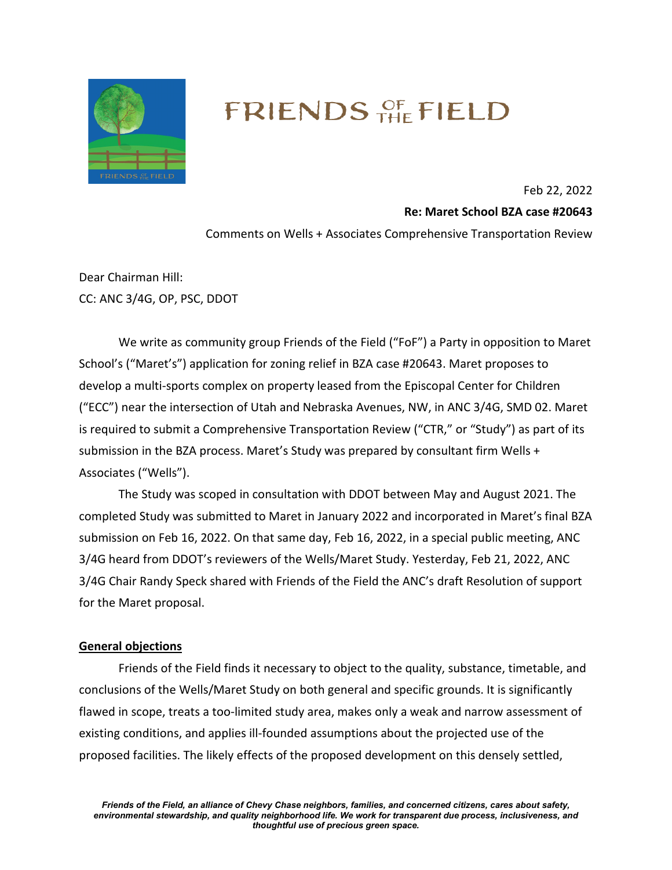

# FRIENDS OF FIELD

Feb 22, 2022

**Re: Maret School BZA case #20643**

Comments on Wells + Associates Comprehensive Transportation Review

Dear Chairman Hill: CC: ANC 3/4G, OP, PSC, DDOT

We write as community group Friends of the Field ("FoF") a Party in opposition to Maret School's ("Maret's") application for zoning relief in BZA case #20643. Maret proposes to develop a multi-sports complex on property leased from the Episcopal Center for Children ("ECC") near the intersection of Utah and Nebraska Avenues, NW, in ANC 3/4G, SMD 02. Maret is required to submit a Comprehensive Transportation Review ("CTR," or "Study") as part of its submission in the BZA process. Maret's Study was prepared by consultant firm Wells + Associates ("Wells").

The Study was scoped in consultation with DDOT between May and August 2021. The completed Study was submitted to Maret in January 2022 and incorporated in Maret's final BZA submission on Feb 16, 2022. On that same day, Feb 16, 2022, in a special public meeting, ANC 3/4G heard from DDOT's reviewers of the Wells/Maret Study. Yesterday, Feb 21, 2022, ANC 3/4G Chair Randy Speck shared with Friends of the Field the ANC's draft Resolution of support for the Maret proposal.

# **General objections**

Friends of the Field finds it necessary to object to the quality, substance, timetable, and conclusions of the Wells/Maret Study on both general and specific grounds. It is significantly flawed in scope, treats a too-limited study area, makes only a weak and narrow assessment of existing conditions, and applies ill-founded assumptions about the projected use of the proposed facilities. The likely effects of the proposed development on this densely settled,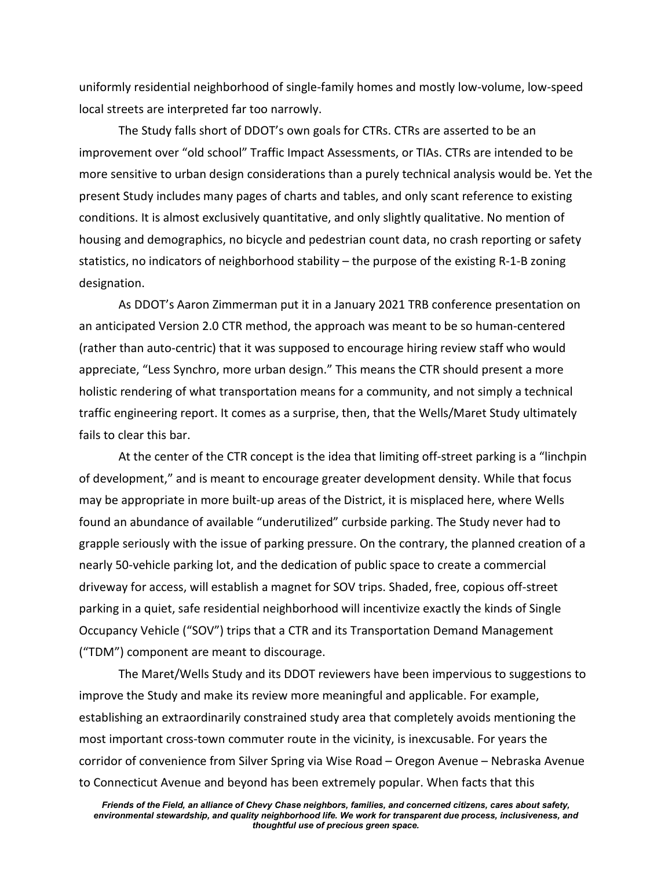uniformly residential neighborhood of single-family homes and mostly low-volume, low-speed local streets are interpreted far too narrowly.

The Study falls short of DDOT's own goals for CTRs. CTRs are asserted to be an improvement over "old school" Traffic Impact Assessments, or TIAs. CTRs are intended to be more sensitive to urban design considerations than a purely technical analysis would be. Yet the present Study includes many pages of charts and tables, and only scant reference to existing conditions. It is almost exclusively quantitative, and only slightly qualitative. No mention of housing and demographics, no bicycle and pedestrian count data, no crash reporting or safety statistics, no indicators of neighborhood stability – the purpose of the existing R-1-B zoning designation.

As DDOT's Aaron Zimmerman put it in a January 2021 TRB conference presentation on an anticipated Version 2.0 CTR method, the approach was meant to be so human-centered (rather than auto-centric) that it was supposed to encourage hiring review staff who would appreciate, "Less Synchro, more urban design." This means the CTR should present a more holistic rendering of what transportation means for a community, and not simply a technical traffic engineering report. It comes as a surprise, then, that the Wells/Maret Study ultimately fails to clear this bar.

At the center of the CTR concept is the idea that limiting off-street parking is a "linchpin of development," and is meant to encourage greater development density. While that focus may be appropriate in more built-up areas of the District, it is misplaced here, where Wells found an abundance of available "underutilized" curbside parking. The Study never had to grapple seriously with the issue of parking pressure. On the contrary, the planned creation of a nearly 50-vehicle parking lot, and the dedication of public space to create a commercial driveway for access, will establish a magnet for SOV trips. Shaded, free, copious off-street parking in a quiet, safe residential neighborhood will incentivize exactly the kinds of Single Occupancy Vehicle ("SOV") trips that a CTR and its Transportation Demand Management ("TDM") component are meant to discourage.

The Maret/Wells Study and its DDOT reviewers have been impervious to suggestions to improve the Study and make its review more meaningful and applicable. For example, establishing an extraordinarily constrained study area that completely avoids mentioning the most important cross-town commuter route in the vicinity, is inexcusable. For years the corridor of convenience from Silver Spring via Wise Road – Oregon Avenue – Nebraska Avenue to Connecticut Avenue and beyond has been extremely popular. When facts that this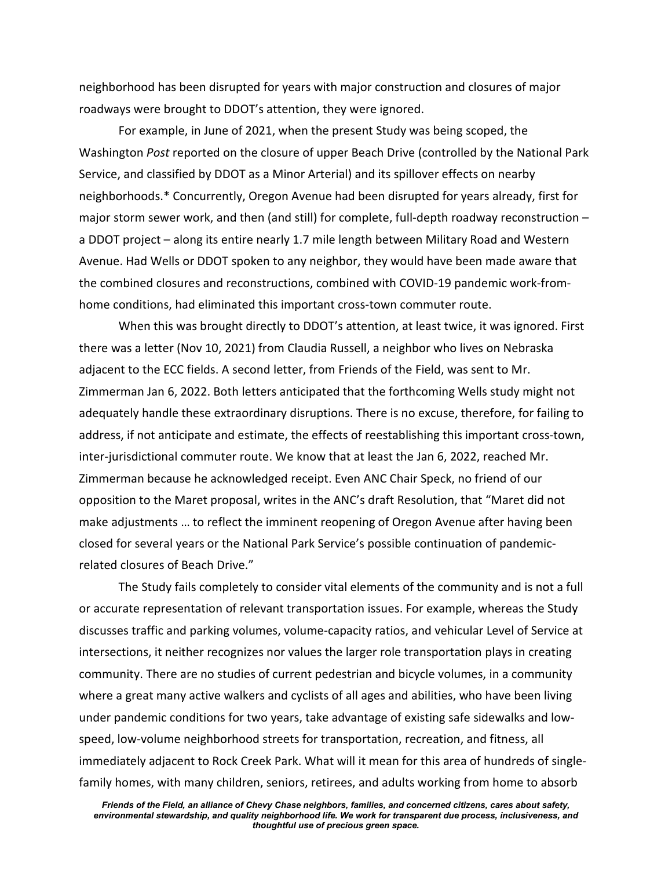neighborhood has been disrupted for years with major construction and closures of major roadways were brought to DDOT's attention, they were ignored.

For example, in June of 2021, when the present Study was being scoped, the Washington *Post* reported on the closure of upper Beach Drive (controlled by the National Park Service, and classified by DDOT as a Minor Arterial) and its spillover effects on nearby neighborhoods.\* Concurrently, Oregon Avenue had been disrupted for years already, first for major storm sewer work, and then (and still) for complete, full-depth roadway reconstruction – a DDOT project – along its entire nearly 1.7 mile length between Military Road and Western Avenue. Had Wells or DDOT spoken to any neighbor, they would have been made aware that the combined closures and reconstructions, combined with COVID-19 pandemic work-fromhome conditions, had eliminated this important cross-town commuter route.

When this was brought directly to DDOT's attention, at least twice, it was ignored. First there was a letter (Nov 10, 2021) from Claudia Russell, a neighbor who lives on Nebraska adjacent to the ECC fields. A second letter, from Friends of the Field, was sent to Mr. Zimmerman Jan 6, 2022. Both letters anticipated that the forthcoming Wells study might not adequately handle these extraordinary disruptions. There is no excuse, therefore, for failing to address, if not anticipate and estimate, the effects of reestablishing this important cross-town, inter-jurisdictional commuter route. We know that at least the Jan 6, 2022, reached Mr. Zimmerman because he acknowledged receipt. Even ANC Chair Speck, no friend of our opposition to the Maret proposal, writes in the ANC's draft Resolution, that "Maret did not make adjustments … to reflect the imminent reopening of Oregon Avenue after having been closed for several years or the National Park Service's possible continuation of pandemicrelated closures of Beach Drive."

The Study fails completely to consider vital elements of the community and is not a full or accurate representation of relevant transportation issues. For example, whereas the Study discusses traffic and parking volumes, volume-capacity ratios, and vehicular Level of Service at intersections, it neither recognizes nor values the larger role transportation plays in creating community. There are no studies of current pedestrian and bicycle volumes, in a community where a great many active walkers and cyclists of all ages and abilities, who have been living under pandemic conditions for two years, take advantage of existing safe sidewalks and lowspeed, low-volume neighborhood streets for transportation, recreation, and fitness, all immediately adjacent to Rock Creek Park. What will it mean for this area of hundreds of singlefamily homes, with many children, seniors, retirees, and adults working from home to absorb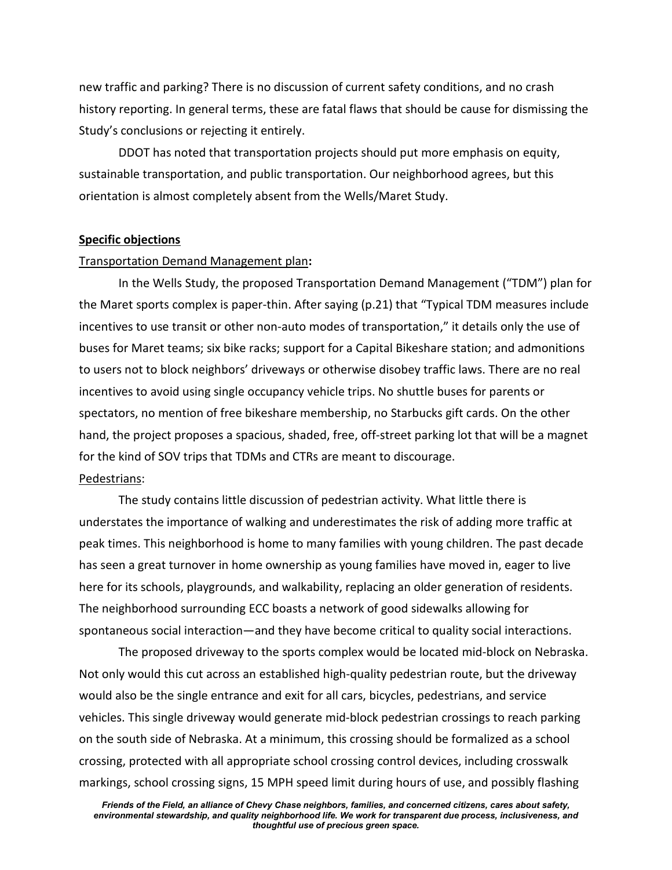new traffic and parking? There is no discussion of current safety conditions, and no crash history reporting. In general terms, these are fatal flaws that should be cause for dismissing the Study's conclusions or rejecting it entirely.

DDOT has noted that transportation projects should put more emphasis on equity, sustainable transportation, and public transportation. Our neighborhood agrees, but this orientation is almost completely absent from the Wells/Maret Study.

#### **Specific objections**

#### Transportation Demand Management plan**:**

In the Wells Study, the proposed Transportation Demand Management ("TDM") plan for the Maret sports complex is paper-thin. After saying (p.21) that "Typical TDM measures include incentives to use transit or other non-auto modes of transportation," it details only the use of buses for Maret teams; six bike racks; support for a Capital Bikeshare station; and admonitions to users not to block neighbors' driveways or otherwise disobey traffic laws. There are no real incentives to avoid using single occupancy vehicle trips. No shuttle buses for parents or spectators, no mention of free bikeshare membership, no Starbucks gift cards. On the other hand, the project proposes a spacious, shaded, free, off-street parking lot that will be a magnet for the kind of SOV trips that TDMs and CTRs are meant to discourage. Pedestrians:

The study contains little discussion of pedestrian activity. What little there is understates the importance of walking and underestimates the risk of adding more traffic at peak times. This neighborhood is home to many families with young children. The past decade has seen a great turnover in home ownership as young families have moved in, eager to live here for its schools, playgrounds, and walkability, replacing an older generation of residents. The neighborhood surrounding ECC boasts a network of good sidewalks allowing for spontaneous social interaction—and they have become critical to quality social interactions.

The proposed driveway to the sports complex would be located mid-block on Nebraska. Not only would this cut across an established high-quality pedestrian route, but the driveway would also be the single entrance and exit for all cars, bicycles, pedestrians, and service vehicles. This single driveway would generate mid-block pedestrian crossings to reach parking on the south side of Nebraska. At a minimum, this crossing should be formalized as a school crossing, protected with all appropriate school crossing control devices, including crosswalk markings, school crossing signs, 15 MPH speed limit during hours of use, and possibly flashing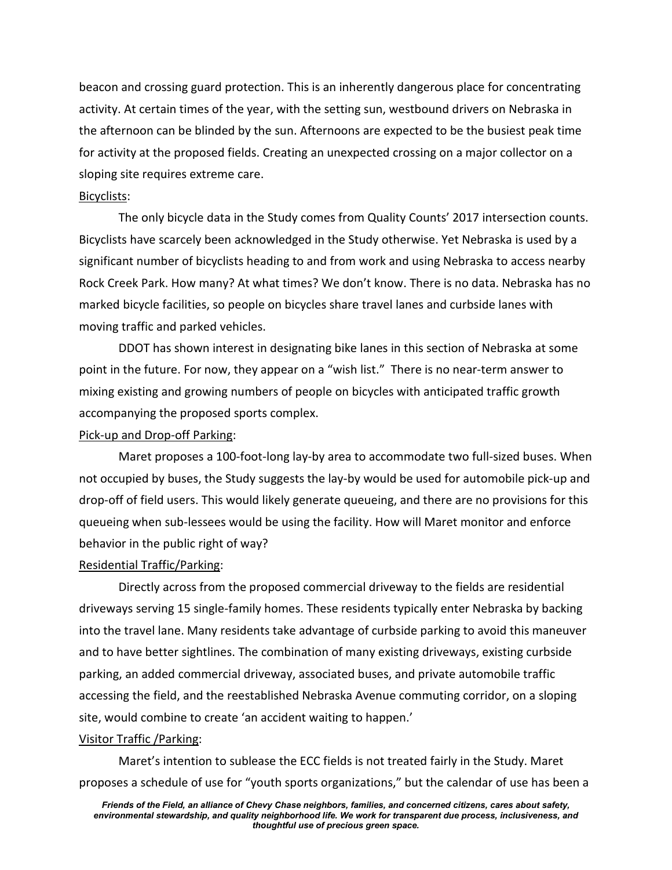beacon and crossing guard protection. This is an inherently dangerous place for concentrating activity. At certain times of the year, with the setting sun, westbound drivers on Nebraska in the afternoon can be blinded by the sun. Afternoons are expected to be the busiest peak time for activity at the proposed fields. Creating an unexpected crossing on a major collector on a sloping site requires extreme care.

### Bicyclists:

The only bicycle data in the Study comes from Quality Counts' 2017 intersection counts. Bicyclists have scarcely been acknowledged in the Study otherwise. Yet Nebraska is used by a significant number of bicyclists heading to and from work and using Nebraska to access nearby Rock Creek Park. How many? At what times? We don't know. There is no data. Nebraska has no marked bicycle facilities, so people on bicycles share travel lanes and curbside lanes with moving traffic and parked vehicles.

DDOT has shown interest in designating bike lanes in this section of Nebraska at some point in the future. For now, they appear on a "wish list." There is no near-term answer to mixing existing and growing numbers of people on bicycles with anticipated traffic growth accompanying the proposed sports complex.

#### Pick-up and Drop-off Parking:

Maret proposes a 100-foot-long lay-by area to accommodate two full-sized buses. When not occupied by buses, the Study suggests the lay-by would be used for automobile pick-up and drop-off of field users. This would likely generate queueing, and there are no provisions for this queueing when sub-lessees would be using the facility. How will Maret monitor and enforce behavior in the public right of way?

### Residential Traffic/Parking:

Directly across from the proposed commercial driveway to the fields are residential driveways serving 15 single-family homes. These residents typically enter Nebraska by backing into the travel lane. Many residents take advantage of curbside parking to avoid this maneuver and to have better sightlines. The combination of many existing driveways, existing curbside parking, an added commercial driveway, associated buses, and private automobile traffic accessing the field, and the reestablished Nebraska Avenue commuting corridor, on a sloping site, would combine to create 'an accident waiting to happen.'

#### Visitor Traffic /Parking:

Maret's intention to sublease the ECC fields is not treated fairly in the Study. Maret proposes a schedule of use for "youth sports organizations," but the calendar of use has been a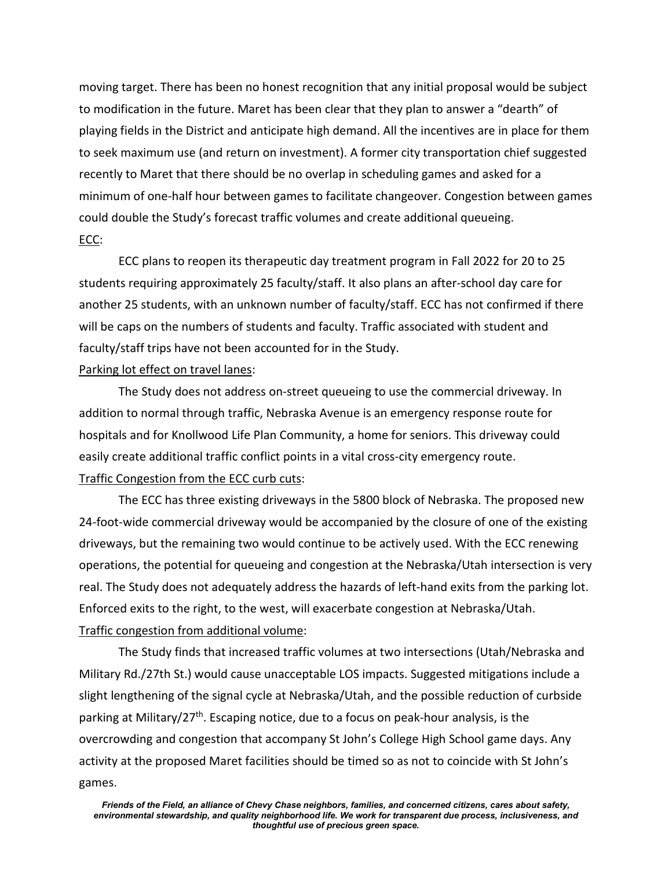moving target. There has been no honest recognition that any initial proposal would be subject to modification in the future. Maret has been clear that they plan to answer a "dearth" of playing fields in the District and anticipate high demand. All the incentives are in place for them to seek maximum use (and return on investment). A former city transportation chief suggested recently to Maret that there should be no overlap in scheduling games and asked for a minimum of one-half hour between games to facilitate changeover. Congestion between games could double the Study's forecast traffic volumes and create additional queueing. ECC:

ECC plans to reopen its therapeutic day treatment program in Fall 2022 for 20 to 25 students requiring approximately 25 faculty/staff. It also plans an after-school day care for another 25 students, with an unknown number of faculty/staff. ECC has not confirmed if there will be caps on the numbers of students and faculty. Traffic associated with student and faculty/staff trips have not been accounted for in the Study.

# Parking lot effect on travel lanes:

The Study does not address on-street queueing to use the commercial driveway. In addition to normal through traffic, Nebraska Avenue is an emergency response route for hospitals and for Knollwood Life Plan Community, a home for seniors. This driveway could easily create additional traffic conflict points in a vital cross-city emergency route. Traffic Congestion from the ECC curb cuts:

The ECC has three existing driveways in the 5800 block of Nebraska. The proposed new 24-foot-wide commercial driveway would be accompanied by the closure of one of the existing driveways, but the remaining two would continue to be actively used. With the ECC renewing operations, the potential for queueing and congestion at the Nebraska/Utah intersection is very real. The Study does not adequately address the hazards of left-hand exits from the parking lot. Enforced exits to the right, to the west, will exacerbate congestion at Nebraska/Utah. Traffic congestion from additional volume:

The Study finds that increased traffic volumes at two intersections (Utah/Nebraska and Military Rd./27th St.) would cause unacceptable LOS impacts. Suggested mitigations include a slight lengthening of the signal cycle at Nebraska/Utah, and the possible reduction of curbside parking at Military/ $27<sup>th</sup>$ . Escaping notice, due to a focus on peak-hour analysis, is the overcrowding and congestion that accompany St John's College High School game days. Any activity at the proposed Maret facilities should be timed so as not to coincide with St John's games.